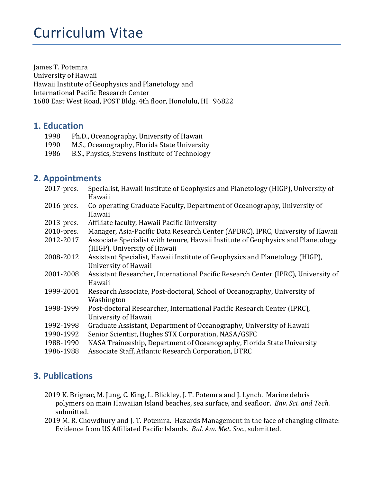# Curriculum Vitae

James T. Potemra University of Hawaii Hawaii Institute of Geophysics and Planetology and International Pacific Research Center 1680 East West Road, POST Bldg. 4th floor, Honolulu, HI 96822

# **1. Education**

- 1998 Ph.D., Oceanography, University of Hawaii
- 1990 M.S., Oceanography, Florida State University
- 1986 B.S., Physics, Stevens Institute of Technology

## **2. Appointments**

| 2017-pres. | Specialist, Hawaii Institute of Geophysics and Planetology (HIGP), University of<br>Hawaii                       |
|------------|------------------------------------------------------------------------------------------------------------------|
| 2016-pres. | Co-operating Graduate Faculty, Department of Oceanography, University of<br>Hawaii                               |
| 2013-pres. | Affiliate faculty, Hawaii Pacific University                                                                     |
| 2010-pres. | Manager, Asia-Pacific Data Research Center (APDRC), IPRC, University of Hawaii                                   |
| 2012-2017  | Associate Specialist with tenure, Hawaii Institute of Geophysics and Planetology<br>(HIGP), University of Hawaii |
| 2008-2012  | Assistant Specialist, Hawaii Institute of Geophysics and Planetology (HIGP),<br>University of Hawaii             |
| 2001-2008  | Assistant Researcher, International Pacific Research Center (IPRC), University of<br>Hawaii                      |
| 1999-2001  | Research Associate, Post-doctoral, School of Oceanography, University of<br>Washington                           |
| 1998-1999  | Post-doctoral Researcher, International Pacific Research Center (IPRC),<br>University of Hawaii                  |
| 1992-1998  | Graduate Assistant, Department of Oceanography, University of Hawaii                                             |
| 1990-1992  | Senior Scientist, Hughes STX Corporation, NASA/GSFC                                                              |
| 1988-1990  | NASA Traineeship, Department of Oceanography, Florida State University                                           |
| 1986-1988  | Associate Staff, Atlantic Research Corporation, DTRC                                                             |

## **3. Publications**

- 2019 K. Brignac, M. Jung, C. King, L. Blickley, J. T. Potemra and J. Lynch. Marine debris polymers on main Hawaiian Island beaches, sea surface, and seafloor. *Env. Sci. and Tech.* submitted.
- 2019 M. R. Chowdhury and J. T. Potemra. Hazards Management in the face of changing climate: Evidence from US Affiliated Pacific Islands. *Bul. Am. Met. Soc.*, submitted.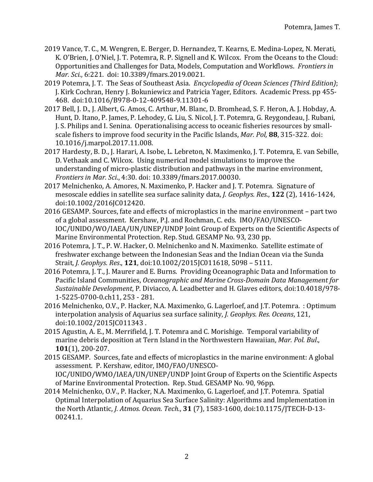- 2019 Vance, T. C., M. Wengren, E. Berger, D. Hernandez, T. Kearns, E. Medina-Lopez, N. Merati, K. O'Brien, J. O'Niel, J. T. Potemra, R. P. Signell and K. Wilcox. From the Oceans to the Cloud: Opportunities and Challenges for Data, Models, Computation and Workflows. Frontiers in *Mar. Sci.*, 6:221. doi: 10.3389/fmars.2019.0021.
- 2019 Potemra, J. T. The Seas of Southeast Asia. *Encyclopedia of Ocean Sciences (Third Edition)*; J. Kirk Cochran, Henry J. Bokuniewicz and Patricia Yager, Editors. Academic Press. pp 455-468. doi:10.1016/B978-0-12-409548-9.11301-6
- 2017 Bell, J. D., J. Albert, G. Amos, C. Arthur, M. Blanc, D. Bromhead, S. F. Heron, A. J. Hobday, A. Hunt, D. Itano, P. James, P. Lehodey, G. Liu, S. Nicol, J. T. Potemra, G. Reygondeau, J. Rubani, J. S. Philips and I. Senina. Operationalising access to oceanic fisheries resources by smallscale fishers to improve food security in the Pacific Islands, *Mar. Pol*, **88**, 315-322. doi: 10.1016/j.marpol.2017.11.008.
- 2017 Hardesty, B. D., J. Harari, A. Isobe, L. Lebreton, N. Maximenko, J. T. Potemra, E. van Sebille, D. Vethaak and C. Wilcox. Using numerical model simulations to improve the understanding of micro-plastic distribution and pathways in the marine environment, *Frontiers in Mar. Sci.,* 4:30. doi: 10.3389/fmars.2017.00030.
- 2017 Melnichenko, A. Amores, N. Maximenko, P. Hacker and J. T. Potemra. Signature of mesoscale eddies in satellite sea surface salinity data, *J. Geophys. Res.*, **122** (2), 1416-1424, doi:10.1002/2016JC012420.
- 2016 GESAMP. Sources, fate and effects of microplastics in the marine environment part two of a global assessment. Kershaw, P.J. and Rochman, C. eds. IMO/FAO/UNESCO-IOC/UNIDO/WO/IAEA/UN/UNEP/UNDP Joint Group of Experts on the Scientific Aspects of Marine Environmental Protection. Rep. Stud. GESAMP No. 93, 230 pp.
- 2016 Potemra, J. T., P. W. Hacker, O. Melnichenko and N. Maximenko. Satellite estimate of freshwater exchange between the Indonesian Seas and the Indian Ocean via the Sunda Strait, *J. Geophys. Res.*, **121**, doi:10.1002/2015JC011618, 5098 - 5111.
- 2016 Potemra, J. T., J. Maurer and E. Burns. Providing Oceanographic Data and Information to Pacific Island Communities, *Oceanographic and Marine Cross-Domain Data Management for Sustainable Development*, P. Diviacco, A. Leadbetter and H. Glaves editors, doi:10.4018/978- 1-5225-0700-0.ch11, 253 - 281.
- 2016 Melnichenko, O.V., P. Hacker, N.A. Maximenko, G. Lagerloef, and J.T. Potemra. : Optimum interpolation analysis of Aquarius sea surface salinity, *J. Geophys. Res. Oceans*, 121, doi:10.1002/2015JC011343 .
- 2015 Agustin, A. E., M. Merrifield, J. T. Potemra and C. Morishige. Temporal variability of marine debris deposition at Tern Island in the Northwestern Hawaiian, Mar. Pol. Bul., **101**(1), 200-207.
- 2015 GESAMP. Sources, fate and effects of microplastics in the marine environment: A global assessment. P. Kershaw, editor, IMO/FAO/UNESCO-IOC/UNIDO/WMO/IAEA/UN/UNEP/UNDP Joint Group of Experts on the Scientific Aspects of Marine Environmental Protection. Rep. Stud. GESAMP No. 90, 96pp.
- 2014 Melnichenko, O.V., P. Hacker, N.A. Maximenko, G. Lagerloef, and J.T. Potemra. Spatial Optimal Interpolation of Aquarius Sea Surface Salinity: Algorithms and Implementation in the North Atlantic, *J. Atmos. Ocean. Tech.*, **31** (7), 1583-1600, doi:10.1175/JTECH-D-13-00241.1.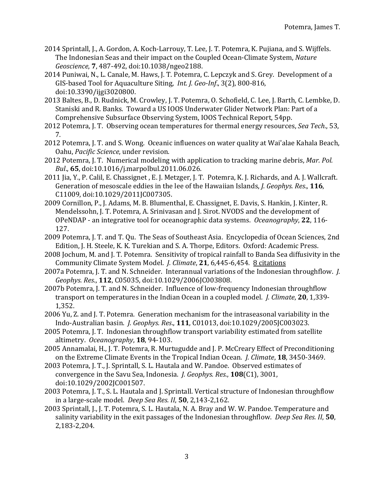- 2014 Sprintall, J., A. Gordon, A. Koch-Larrouy, T. Lee, J. T. Potemra, K. Pujiana, and S. Wijffels. The Indonesian Seas and their impact on the Coupled Ocean-Climate System, *Nature Geoscience*, **7**, 487-492, doi:10.1038/ngeo2188.
- 2014 Puniwai, N., L. Canale, M. Haws, J. T. Potemra, C. Lepczyk and S. Grey. Development of a GIS-based Tool for Aquaculture Siting, *Int. J. Geo-Inf.*, 3(2), 800-816, doi:10.3390/ijgi3020800.
- 2013 Baltes, B., D. Rudnick, M. Crowley, J. T. Potemra, O. Schofield, C. Lee, J. Barth, C. Lembke, D. Staniski and R. Banks. Toward a US IOOS Underwater Glider Network Plan: Part of a Comprehensive Subsurface Observing System, IOOS Technical Report, 54pp.
- 2012 Potemra, J. T. Observing ocean temperatures for thermal energy resources, *Sea Tech.*, 53, 7.
- 2012 Potemra, J. T. and S. Wong. Oceanic influences on water quality at Wai'alae Kahala Beach, Oahu, *Pacific Science*, under revision.
- 2012 Potemra, J. T. Numerical modeling with application to tracking marine debris, *Mar. Pol. Bul*., **65**, doi:10.1016/j.marpolbul.2011.06.026.
- 2011 Jia, Y., P. Calil, E. Chassignet, E. J. Metzger, J. T. Potemra, K. J. Richards, and A. J. Wallcraft. Generation of mesoscale eddies in the lee of the Hawaiian Islands, *J. Geophys. Res.*, **116**, C11009, doi:10.1029/2011JC007305.
- 2009 Cornillon, P., J. Adams, M. B. Blumenthal, E. Chassignet, E. Davis, S. Hankin, J. Kinter, R. Mendelssohn, J. T. Potemra, A. Srinivasan and J. Sirot. NVODS and the development of OPeNDAP - an integrative tool for oceanographic data systems. *Oceanography*, 22, 116-127.
- 2009 Potemra, J. T. and T. Qu. The Seas of Southeast Asia. Encyclopedia of Ocean Sciences, 2nd Edition, J. H. Steele, K. K. Turekian and S. A. Thorpe, Editors. Oxford: Academic Press.
- 2008 Jochum, M. and J. T. Potemra. Sensitivity of tropical rainfall to Banda Sea diffusivity in the Community Climate System Model. *J. Climate*, 21, 6,445-6,454. **8** citations
- 2007a Potemra, J. T. and N. Schneider. Interannual variations of the Indonesian throughflow. *J. Geophys. Res*., **112**, C05035, doi:10.1029/2006JC003808.
- 2007b Potemra, J. T. and N. Schneider. Influence of low-frequency Indonesian throughflow transport on temperatures in the Indian Ocean in a coupled model. *J. Climate*, **20**, 1,339-1,352.
- 2006 Yu, Z. and J. T. Potemra. Generation mechanism for the intraseasonal variability in the Indo-Australian basin. *J. Geophys. Res*., **111**, C01013, doi:10.1029/2005JC003023.
- 2005 Potemra, J. T. Indonesian throughflow transport variability estimated from satellite altimetry. *Oceanography*, **18**, 94-103.
- 2005 Annamalai, H., J. T. Potemra, R. Murtugudde and J. P. McCreary Effect of Preconditioning on the Extreme Climate Events in the Tropical Indian Ocean. *J. Climate*, **18**, 3450-3469.
- 2003 Potemra, J. T., J. Sprintall, S. L. Hautala and W. Pandoe. Observed estimates of convergence in the Savu Sea, Indonesia. *J. Geophys. Res.*, **108**(C1), 3001, doi:10.1029/2002JC001507.
- 2003 Potemra, J. T., S. L. Hautala and J. Sprintall. Vertical structure of Indonesian throughflow in a large-scale model. *Deep Sea Res. II*, **50**, 2,143-2,162.
- 2003 Sprintall, J., J. T. Potemra, S. L. Hautala, N. A. Bray and W. W. Pandoe. Temperature and salinity variability in the exit passages of the Indonesian throughflow. *Deep Sea Res. II*, **50**, 2,183-2,204.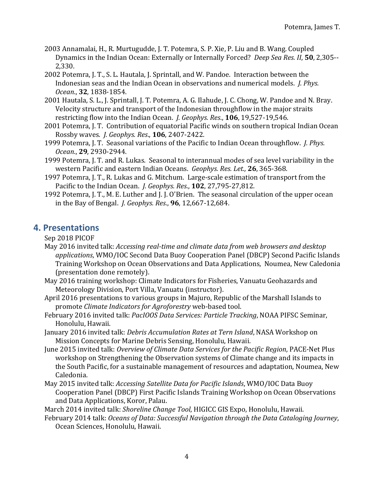- 2003 Annamalai, H., R. Murtugudde, J. T. Potemra, S. P. Xie, P. Liu and B. Wang. Coupled Dynamics in the Indian Ocean: Externally or Internally Forced? *Deep Sea Res. II*, **50**, 2,305--2,330.
- 2002 Potemra, J. T., S. L. Hautala, J. Sprintall, and W. Pandoe. Interaction between the Indonesian seas and the Indian Ocean in observations and numerical models. *J. Phys. Ocean*., **32**, 1838-1854.
- 2001 Hautala, S. L., J. Sprintall, J. T. Potemra, A. G. Ilahude, J. C. Chong, W. Pandoe and N. Bray. Velocity structure and transport of the Indonesian throughflow in the major straits restricting flow into the Indian Ocean. *J. Geophys. Res.*, **106**, 19,527-19,546.
- 2001 Potemra, J. T. Contribution of equatorial Pacific winds on southern tropical Indian Ocean Rossby waves. *J. Geophys. Res*., **106**, 2407-2422.
- 1999 Potemra, J. T. Seasonal variations of the Pacific to Indian Ocean throughflow. *J. Phys. Ocean*., **29**, 2930-2944.
- 1999 Potemra, J. T. and R. Lukas. Seasonal to interannual modes of sea level variability in the western Pacific and eastern Indian Oceans. *Geophys. Res. Let.*, 26, 365-368.
- 1997 Potemra, J. T., R. Lukas and G. Mitchum. Large-scale estimation of transport from the Pacific to the Indian Ocean. *I. Geophys. Res.*, **102**, 27,795-27,812.
- 1992 Potemra, J. T., M. E. Luther and J. J. O'Brien. The seasonal circulation of the upper ocean in the Bay of Bengal. *J. Geophys. Res.*, **96**, 12,667-12,684.

## **4. Presentations**

Sep 2018 PICOF

- May 2016 invited talk: *Accessing real-time and climate data from web browsers and desktop* applications, WMO/IOC Second Data Buoy Cooperation Panel (DBCP) Second Pacific Islands Training Workshop on Ocean Observations and Data Applications, Noumea, New Caledonia (presentation done remotely).
- May 2016 training workshop: Climate Indicators for Fisheries, Vanuatu Geohazards and Meteorology Division, Port Villa, Vanuatu (instructor).
- April 2016 presentations to various groups in Majuro, Republic of the Marshall Islands to promote *Climate Indicators for Agroforestry* web-based tool.
- February 2016 invited talk: *PacIOOS Data Services: Particle Tracking*, NOAA PIFSC Seminar, Honolulu, Hawaii.
- January 2016 invited talk: *Debris Accumulation Rates at Tern Island*, NASA Workshop on Mission Concepts for Marine Debris Sensing, Honolulu, Hawaii.
- June 2015 invited talk: *Overview of Climate Data Services for the Pacific Region*, PACE-Net Plus workshop on Strengthening the Observation systems of Climate change and its impacts in the South Pacific, for a sustainable management of resources and adaptation, Noumea, New Caledonia.
- May 2015 invited talk: *Accessing Satellite Data for Pacific Islands*, WMO/IOC Data Buoy Cooperation Panel (DBCP) First Pacific Islands Training Workshop on Ocean Observations and Data Applications, Koror, Palau.

March 2014 invited talk: *Shoreline Change Tool*, HIGICC GIS Expo, Honolulu, Hawaii.

February 2014 talk: *Oceans of Data: Successful Navigation through the Data Cataloging Journey*, Ocean Sciences, Honolulu, Hawaii.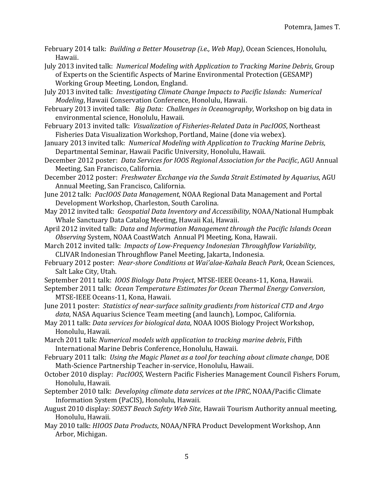February 2014 talk: *Building a Better Mousetrap (i.e., Web Map)*, Ocean Sciences, Honolulu, Hawaii.

July 2013 invited talk: *Numerical Modeling with Application to Tracking Marine Debris*, Group of Experts on the Scientific Aspects of Marine Environmental Protection (GESAMP) Working Group Meeting, London, England.

July 2013 invited talk: *Investigating Climate Change Impacts to Pacific Islands: Numerical Modeling*, Hawaii Conservation Conference, Honolulu, Hawaii.

February 2013 invited talk: *Big Data: Challenges in Oceanography*, Workshop on big data in environmental science, Honolulu, Hawaii.

February 2013 invited talk: Visualization of Fisheries-Related Data in PacIOOS, Northeast Fisheries Data Visualization Workshop, Portland, Maine (done via webex).

January 2013 invited talk: *Numerical Modeling with Application to Tracking Marine Debris,* Departmental Seminar, Hawaii Pacific University, Honolulu, Hawaii.

December 2012 poster: *Data Services for IOOS Regional Association for the Pacific*, AGU Annual Meeting, San Francisco, California.

December 2012 poster: Freshwater Exchange via the Sunda Strait Estimated by Aquarius, AGU Annual Meeting, San Francisco, California.

- June 2012 talk: *PacIOOS Data Management*, NOAA Regional Data Management and Portal Development Workshop, Charleston, South Carolina.
- May 2012 invited talk: *Geospatial Data Inventory and Accessibility*, NOAA/National Humpbak Whale Sanctuary Data Catalog Meeting, Hawaii Kai, Hawaii.
- April 2012 invited talk: *Data and Information Management through the Pacific Islands Ocean* Observing System, NOAA CoastWatch Annual PI Meeting, Kona, Hawaii.
- March 2012 invited talk: *Impacts of Low-Frequency Indonesian Throughflow Variability*, CLIVAR Indonesian Throughflow Panel Meeting, Jakarta, Indonesia.
- February 2012 poster: *Near-shore Conditions at Wai'alae-Kahala Beach Park*, Ocean Sciences, Salt Lake City, Utah.
- September 2011 talk: *IOOS Biology Data Project*, MTSE-IEEE Oceans-11, Kona, Hawaii.
- September 2011 talk: *Ocean Temperature Estimates for Ocean Thermal Energy Conversion*, MTSE-IEEE Oceans-11, Kona, Hawaii.
- June 2011 poster: Statistics of near-surface salinity gradients from historical CTD and Argo data, NASA Aquarius Science Team meeting (and launch), Lompoc, California.
- May 2011 talk: *Data services for biological data*, NOAA IOOS Biology Project Workshop, Honolulu, Hawaii.

March 2011 talk: *Numerical models with application to tracking marine debris*, Fifth International Marine Debris Conference, Honolulu, Hawaii.

- February 2011 talk: Using the Magic Planet as a tool for teaching about climate change, DOE Math-Science Partnership Teacher in-service, Honolulu, Hawaii.
- October 2010 display: *PacIOOS*, Western Pacific Fisheries Management Council Fishers Forum, Honolulu, Hawaii.
- September 2010 talk: *Developing climate data services at the IPRC*, NOAA/Pacific Climate Information System (PaCIS), Honolulu, Hawaii.
- August 2010 display: *SOEST Beach Safety Web Site*, Hawaii Tourism Authority annual meeting, Honolulu, Hawaii.
- May 2010 talk: *HIOOS Data Products*, NOAA/NFRA Product Development Workshop, Ann Arbor, Michigan.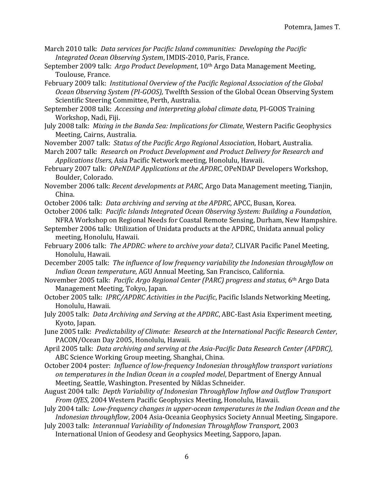- March 2010 talk: *Data services for Pacific Island communities: Developing the Pacific Integrated Ocean Observing System, IMDIS-2010, Paris, France.*
- September 2009 talk: Argo Product Development, 10<sup>th</sup> Argo Data Management Meeting, Toulouse, France.
- February 2009 talk: *Institutional Overview of the Pacific Regional Association of the Global Ocean Observing System (PI-GOOS)*, Twelfth Session of the Global Ocean Observing System Scientific Steering Committee, Perth, Australia.
- September 2008 talk: *Accessing and interpreting global climate data*, PI-GOOS Training Workshop, Nadi, Fiji.
- July 2008 talk: Mixing in the Banda Sea: Implications for Climate, Western Pacific Geophysics Meeting, Cairns, Australia.
- November 2007 talk: Status of the Pacific Argo Regional Association, Hobart, Australia.
- March 2007 talk: Research on Product Development and Product Delivery for Research and Applications Users, Asia Pacific Network meeting, Honolulu, Hawaii.
- February 2007 talk: *OPeNDAP Applications at the APDRC*, OPeNDAP Developers Workshop, Boulder, Colorado.
- November 2006 talk: *Recent developments at PARC*, Argo Data Management meeting, Tianjin, China.

October 2006 talk: *Data archiving and serving at the APDRC*, APCC, Busan, Korea.

- October 2006 talk: *Pacific Islands Integrated Ocean Observing System: Building a Foundation*, NFRA Workshop on Regional Needs for Coastal Remote Sensing, Durham, New Hampshire.
- September 2006 talk: Utilization of Unidata products at the APDRC, Unidata annual policy meeting, Honolulu, Hawaii.
- February 2006 talk: The APDRC: where to archive your data?, CLIVAR Pacific Panel Meeting, Honolulu, Hawaii.
- December 2005 talk: The influence of low frequency variability the Indonesian throughflow on *Indian Ocean temperature,* AGU Annual Meeting, San Francisco, California.
- November 2005 talk: *Pacific Argo Regional Center (PARC) progress and status*, 6<sup>th</sup> Argo Data Management Meeting, Tokyo, Japan.
- October 2005 talk: *IPRC/APDRC Activities in the Pacific*, Pacific Islands Networking Meeting, Honolulu, Hawaii.
- July 2005 talk: *Data Archiving and Serving at the APDRC*, ABC-East Asia Experiment meeting, Kyoto, Japan.
- June 2005 talk: Predictability of Climate: Research at the International Pacific Research Center, PACON/Ocean Day 2005, Honolulu, Hawaii.
- April 2005 talk: *Data archiving and serving at the Asia-Pacific Data Research Center (APDRC)*, ABC Science Working Group meeting, Shanghai, China.
- October 2004 poster: *Influence of low-frequency Indonesian throughflow transport variations on temperatures in the Indian Ocean in a coupled model, Department of Energy Annual* Meeting, Seattle, Washington. Presented by Niklas Schneider.
- August 2004 talk: *Depth Variability of Indonesian Throughflow Inflow and Outflow Transport From OfES*, 2004 Western Pacific Geophysics Meeting, Honolulu, Hawaii.
- July 2004 talk: *Low-frequency changes in upper-ocean temperatures in the Indian Ocean and the Indonesian throughflow,* 2004 Asia-Oceania Geophysics Society Annual Meeting, Singapore.
- July 2003 talk: *Interannual Variability of Indonesian Throughflow Transport*, 2003 International Union of Geodesy and Geophysics Meeting, Sapporo, Japan.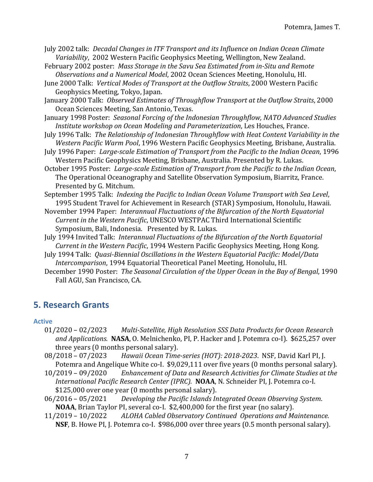- July 2002 talk: *Decadal Changes in ITF Transport and its Influence on Indian Ocean Climate* Variability, 2002 Western Pacific Geophysics Meeting, Wellington, New Zealand.
- February 2002 poster: Mass Storage in the Savu Sea Estimated from in-Situ and Remote Observations and a Numerical Model, 2002 Ocean Sciences Meeting, Honolulu, HI.
- June 2000 Talk: Vertical Modes of Transport at the Outflow Straits, 2000 Western Pacific Geophysics Meeting, Tokyo, Japan.
- January 2000 Talk: Observed Estimates of Throughflow Transport at the Outflow Straits, 2000 Ocean Sciences Meeting, San Antonio, Texas.
- January 1998 Poster: Seasonal Forcing of the Indonesian Throughflow, NATO Advanced Studies *Institute workshop on Ocean Modeling and Parameterization*, Les Houches, France.
- July 1996 Talk: The Relationship of Indonesian Throughflow with Heat Content Variability in the Western Pacific Warm Pool, 1996 Western Pacific Geophysics Meeting, Brisbane, Australia.
- July 1996 Paper: *Large-scale Estimation of Transport from the Pacific to the Indian Ocean*, 1996 Western Pacific Geophysics Meeting, Brisbane, Australia. Presented by R. Lukas.
- October 1995 Poster: *Large-scale Estimation of Transport from the Pacific to the Indian Ocean*, The Operational Oceanography and Satellite Observation Symposium, Biarritz, France. Presented by G. Mitchum.
- September 1995 Talk: *Indexing the Pacific to Indian Ocean Volume Transport with Sea Level*, 1995 Student Travel for Achievement in Research (STAR) Symposium, Honolulu, Hawaii.
- November 1994 Paper: *Interannual Fluctuations of the Bifurcation of the North Equatorial Current in the Western Pacific*, UNESCO WESTPAC Third International Scientific Symposium, Bali, Indonesia. Presented by R. Lukas.
- July 1994 Invited Talk: *Interannual Fluctuations of the Bifurcation of the North Equatorial Current in the Western Pacific*, 1994 Western Pacific Geophysics Meeting, Hong Kong.
- July 1994 Talk: *Quasi-Biennial Oscillations in the Western Equatorial Pacific: Model/Data Intercomparison*, 1994 Equatorial Theoretical Panel Meeting, Honolulu, HI.
- December 1990 Poster: The Seasonal Circulation of the Upper Ocean in the Bay of Bengal, 1990 Fall AGU, San Francisco, CA.

# **5. Research Grants**

#### **Active**

- 01/2020 02/2023 Multi-Satellite, High Resolution SSS Data Products for Ocean Research and *Applications.* **NASA**, O. Melnichenko, PI, P. Hacker and J. Potemra co-I). \$625,257 over three years (0 months personal salary).
- 08/2018 07/2023 Hawaii Ocean Time-series (HOT): 2018-2023. NSF, David Karl PI, J. Potemra and Angelique White co-I. \$9,029,111 over five years (0 months personal salary).
- 10/2019 09/2020 Enhancement of Data and Research Activities for Climate Studies at the *International Pacific Research Center (IPRC).* **NOAA**, N. Schneider PI, J. Potemra co-I.  $$125,000$  over one year (0 months personal salary).
- 06/2016 05/2021 *Developing the Pacific Islands Integrated Ocean Observing System.* **NOAA**, Brian Taylor PI, several co-I. \$2,400,000 for the first year (no salary).
- 11/2019 – 10/2022 *ALOHA Cabled Observatory Continued Operations and Maintenance.* **NSF**, B. Howe PI, J. Potemra co-I. \$986,000 over three years (0.5 month personal salary).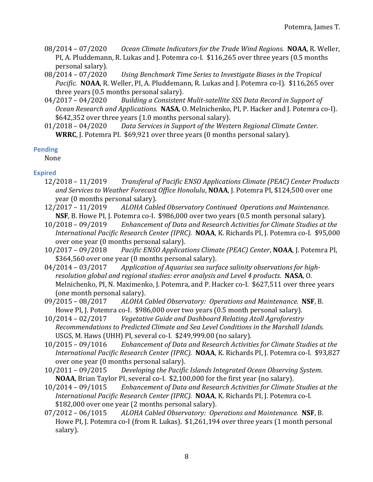- 08/2014 07/2020 *Ocean Climate Indicators for the Trade Wind Regions.* **NOAA**, R. Weller, PI, A. Pluddemann, R. Lukas and J. Potemra co-I. \$116,265 over three years (0.5 months personal salary).
- 08/2014 07/2020 Using Benchmark Time Series to Investigate Biases in the Tropical *Pacific.* **NOAA**, R. Weller, PI, A. Pluddemann, R. Lukas and J. Potemra co-I). \$116,265 over three years (0.5 months personal salary).
- 04/2017 04/2020 Building a Consistent Mulit-satellite SSS Data Record in Support of *Ocean Research and Applications.* **NASA**, O. Melnichenko, PI, P. Hacker and J. Potemra co-I).  $$642,352$  over three years  $(1.0 \text{ months personal salary})$ .
- 01/2018 04/2020 Data Services in Support of the Western Regional Climate Center. **WRRC**, J. Potemra PI. \$69,921 over three years (0 months personal salary).

#### **Pending**

None

#### **Expired**

- 12/2018 – 11/2019 *Transferal of Pacific ENSO Applications Climate (PEAC) Center Products*  and Services to Weather Forecast Office Honolulu, **NOAA**, J. Potemra PI, \$124,500 over one year (0 months personal salary).
- 12/2017 11/2019 ALOHA Cabled Observatory Continued Operations and Maintenance. **NSF**, B. Howe PI, J. Potemra co-I. \$986,000 over two years (0.5 month personal salary).
- 10/2018 09/2019 Enhancement of Data and Research Activities for Climate Studies at the *International Pacific Research Center (IPRC).* **NOAA**, K. Richards PI, J. Potemra co-I. \$95,000 over one year (0 months personal salary).
- 10/2017 09/2018 Pacific *ENSO Applications Climate (PEAC) Center*, **NOAA**, J. Potemra PI, \$364,560 over one year (0 months personal salary).
- 04/2014 03/2017 Application of Aquarius sea surface salinity observations for high*resolution global and regional studies: error analysis and Level 4 products.* NASA, O. Melnichenko, PI, N. Maximenko, J. Potemra, and P. Hacker co-I. \$627,511 over three years (one month personal salary).
- 09/2015 08/2017 ALOHA Cabled Observatory: Operations and Maintenance. NSF, B. Howe PI, J. Potemra co-I. \$986,000 over two years (0.5 month personal salary).
- 10/2014 02/2017 *Vegetative Guide and Dashboard Relating Atoll Agroforestry Recommendations to Predicted Climate and Sea Level Conditions in the Marshall Islands.* USGS, M. Haws (UHH) PI, several co-I. \$249,999.00 (no salary).
- 10/2015 09/1016 *Enhancement of Data and Research Activities for Climate Studies at the International Pacific Research Center (IPRC).* **NOAA**, K. Richards PI, J. Potemra co-I. \$93,827 over one year (0 months personal salary).
- 10/2011 09/2015 *Developing the Pacific Islands Integrated Ocean Observing System.* **NOAA**, Brian Taylor PI, several co-I. \$2,100,000 for the first year (no salary).
- 10/2014 09/1015 Enhancement of Data and Research Activities for Climate Studies at the *International Pacific Research Center (IPRC).* **NOAA**, K. Richards PI, J. Potemra co-I. \$182,000 over one year (2 months personal salary).
- 07/2012 06/1015 ALOHA Cabled Observatory: Operations and Maintenance. NSF, B. Howe PI, J. Potemra co-I (from R. Lukas). \$1,261,194 over three years (1 month personal salary).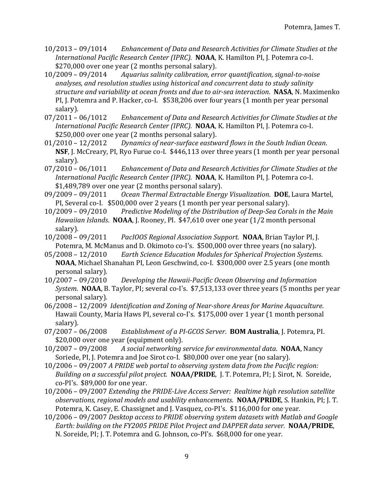- 10/2013 09/1014 *Enhancement of Data and Research Activities for Climate Studies at the International Pacific Research Center (IPRC).* **NOAA**, K. Hamilton PI, J. Potemra co-I. \$270,000 over one year (2 months personal salary).
- 10/2009 09/2014 *Aquarius salinity calibration, error quantification, signal-to-noise* analyses, and resolution studies using historical and concurrent data to study salinity *structure and variability at ocean fronts and due to air-sea interaction.* **NASA**, N. Maximenko PI, J. Potemra and P. Hacker, co-I. \$538,206 over four years (1 month per year personal salary).
- 07/2011 06/1012 Enhancement of Data and Research Activities for Climate Studies at the *International Pacific Research Center (IPRC).* **NOAA**, K. Hamilton PI, J. Potemra co-I. \$250,000 over one year (2 months personal salary).
- 01/2010 12/2012 *Dynamics of near-surface eastward flows in the South Indian Ocean.* **NSF**, J. McCreary, PI, Ryo Furue co-I. \$446,113 over three years (1 month per year personal salary).
- 07/2010 06/1011 Enhancement of Data and Research Activities for Climate Studies at the *International Pacific Research Center (IPRC).* **NOAA**, K. Hamilton PI, J. Potemra co-I.  $$1,489,789$  over one year (2 months personal salary).
- 09/2009 09/2011 *Ocean Thermal Extractable Energy Visualization*. **DOE**, Laura Martel, PI, Several co-I. \$500,000 over 2 years (1 month per year personal salary).
- 10/2009 09/2010 Predictive Modeling of the Distribution of Deep-Sea Corals in the Main *Hawaiian Islands.* **NOAA**, J. Rooney, PI. \$47,610 over one year (1/2 month personal salary).
- 10/2008 – 09/2011 *PacIOOS Regional Association Support*. **NOAA**, Brian Taylor PI, J. Potemra, M. McManus and D. Okimoto co-I's. \$500,000 over three years (no salary).
- 05/2008 12/2010 *Earth Science Education Modules for Spherical Projection Systems.* **NOAA**, Michael Shanahan PI, Leon Geschwind, co-I. \$300,000 over 2.5 years (one month personal salary).
- 10/2007 09/2010 *Developing the Hawaii-Pacific Ocean Observing and Information System.* **NOAA**, B. Taylor, PI; several co-I's. \$7,513,133 over three years (5 months per year personal salary).
- 06/2008 12/2009 *Identification and Zoning of Near-shore Areas for Marine Aquaculture.* Hawaii County, Maria Haws PI, several co-I's. \$175,000 over 1 year (1 month personal salary).
- 07/2007 06/2008 *Establishment of a PI-GCOS Server*. **BOM Australia**, J. Potemra, PI. \$20,000 over one year (equipment only).
- 10/2007 09/2008 A social networking service for environmental data. **NOAA**, Nancy Soriede, PI, J. Potemra and Joe Sirot co-I. \$80,000 over one year (no salary).
- 10/2006 09/2007 A PRIDE web portal to observing system data from the Pacific region: *Building on a successful pilot project.* **NOAA/PRIDE**, J. T. Potemra, PI; J. Sirot, N. Soreide,  $co-PI's.$  \$89,000 for one year.
- 10/2006 09/2007 *Extending the PRIDE-Live Access Server: Realtime high resolution satellite observations, regional models and usability enhancements.* **NOAA/PRIDE**, S. Hankin, PI; J. T. Potemra, K. Casey, E. Chassignet and J. Vasquez, co-PI's. \$116,000 for one year.
- 10/2006 09/2007 Desktop access to PRIDE observing system datasets with Matlab and Google *Earth: building on the FY2005 PRIDE Pilot Project and DAPPER data server.* **NOAA/PRIDE**, N. Soreide, PI; J. T. Potemra and G. Johnson, co-PI's. \$68,000 for one year.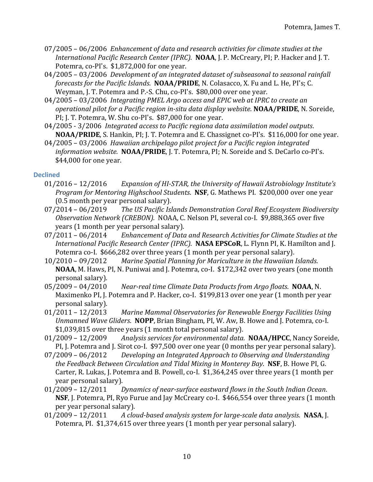- 07/2005 06/2006 Enhancement of data and research activities for climate studies at the *International Pacific Research Center (IPRC).* **NOAA**, J. P. McCreary, PI; P. Hacker and J. T. Potemra, co-PI's. \$1,872,000 for one year.
- 04/2005 03/2006 Development of an integrated dataset of subseasonal to seasonal rainfall *forecasts for the Pacific Islands.* **NOAA/PRIDE**, N. Colasacco, X. Fu and L. He, PI's; C. Weyman, J. T. Potemra and P.-S. Chu, co-PI's. \$80,000 over one year.
- 04/2005 03/2006 *Integrating PMEL Argo access and EPIC web at IPRC to create an operational pilot for a Pacific region in-situ data display website.* **NOAA/PRIDE**, N. Soreide, PI; J. T. Potemra, W. Shu co-PI's. \$87,000 for one year.
- 04/2005 3/2006 *Integrated access to Pacific regiona data assimilation model outputs.* **NOAA/PRIDE,** S. Hankin, PI; J. T. Potemra and E. Chassignet co-PI's. \$116,000 for one year.
- 04/2005 03/2006 Hawaiian archipelago pilot project for a Pacific region integrated *information website.* **NOAA/PRIDE**, J. T. Potemra, PI; N. Soreide and S. DeCarlo co-PI's.  $$44,000$  for one year.

#### **Declined**

- 01/2016 12/2016 Expansion of HI-STAR, the University of Hawaii Astrobiology Institute's *Program for Mentoring Highschool Students.* **NSF**, G. Mathews PI. \$200,000 over one year (0.5 month per year personal salary).
- 07/2014 06/2019 The US Pacific Islands Demonstration Coral Reef Ecosystem Biodiversity Observation Network (CREBON). NOAA, C. Nelson PI, several co-I. \$9,888,365 over five years (1 month per year personal salary).
- 07/2011 06/2014 Enhancement of Data and Research Activities for Climate Studies at the *International Pacific Research Center (IPRC).* **NASA EPSCoR**, L. Flynn PI, K. Hamilton and J. Potemra co-I. \$666,282 over three years (1 month per year personal salary).
- 10/2010 09/2012 Marine Spatial Planning for Mariculture in the Hawaiian Islands. **NOAA**, M. Haws, PI, N. Puniwai and J. Potemra, co-I. \$172,342 over two years (one month personal salary).
- 05/2009 04/2010 Near-real time Climate Data Products from Argo floats. **NOAA**, N. Maximenko PI, J. Potemra and P. Hacker, co-I. \$199,813 over one year (1 month per year personal salary).
- 01/2011 12/2013 Marine Mammal Observatories for Renewable Energy Facilities Using *Unmanned Wave Gliders.* **NOPP**, Brian Bingham, PI, W. Aw, B. Howe and J. Potemra, co-I. \$1,039,815 over three years (1 month total personal salary).
- 01/2009 12/2009 Analysis services for environmental data. **NOAA/HPCC**, Nancy Soreide, PI, J. Potemra and J. Sirot co-I. \$97,500 over one year (0 months per year personal salary).
- 07/2009 06/2012 *Developing an Integrated Approach to Observing and Understanding the Feedback Between Circulation and Tidal Mixing in Monterey Bay.* **NSF**, B. Howe PI, G. Carter, R. Lukas, J. Potemra and B. Powell, co-I. \$1,364,245 over three years (1 month per year personal salary).
- 01/2009 12/2011 *Dynamics of near-surface eastward flows in the South Indian Ocean.* **NSF**, J. Potemra, PI, Ryo Furue and Jay McCreary co-I. \$466,554 over three years (1 month per year personal salary).
- 01/2009 12/2011 A cloud-based analysis system for large-scale data analysis. NASA, J. Potemra, PI. \$1,374,615 over three years (1 month per year personal salary).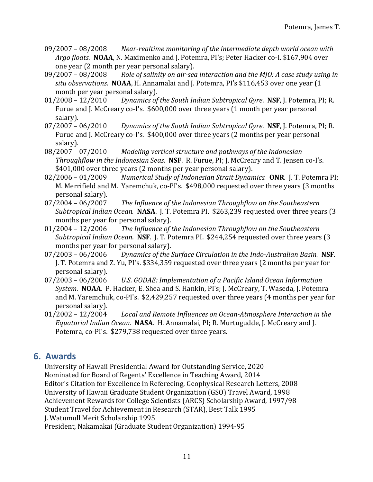- 09/2007 08/2008 Near-realtime monitoring of the intermediate depth world ocean with Argo floats. **NOAA**, N. Maximenko and J. Potemra, PI's; Peter Hacker co-I. \$167,904 over one year (2 month per year personal salary).
- 09/2007 08/2008 Role of salinity on air-sea interaction and the MJO: A case study using in *situ observations.* **NOAA**, H. Annamalai and J. Potemra, PI's \$116,453 over one year (1 month per year personal salary).
- 01/2008 12/2010 *Dynamics of the South Indian Subtropical Gyre*. **NSF**, J. Potemra, PI; R. Furue and J. McCreary co-I's. \$600,000 over three years (1 month per year personal salary).
- 07/2007 06/2010 *Dynamics of the South Indian Subtropical Gyre*. **NSF**, J. Potemra, PI; R. Furue and I. McCreary co-I's. \$400,000 over three years (2 months per year personal salary).
- 08/2007 07/2010 Modeling vertical structure and pathways of the Indonesian *Throughflow in the Indonesian Seas.* **NSF**. R. Furue, PI; J. McCreary and T. Jensen co-I's. \$401,000 over three years (2 months per year personal salary).
- 02/2006 01/2009 Numerical Study of Indonesian Strait Dynamics. ONR. J. T. Potemra PI; M. Merrifield and M. Yaremchuk, co-PI's. \$498,000 requested over three years (3 months personal salary).
- 07/2004 06/2007 The Influence of the Indonesian Throughflow on the Southeastern *Subtropical Indian Ocean.* **NASA.** J. T. Potemra PI. \$263,239 requested over three years (3 months per year for personal salary).
- 01/2004 12/2006 The Influence of the Indonesian Throughflow on the Southeastern *Subtropical Indian Ocean.* **NSF**. J. T. Potemra PI. \$244,254 requested over three years (3 months per year for personal salary).
- 07/2003 06/2006 *Dynamics of the Surface Circulation in the Indo-Australian Basin.* **NSF.** J. T. Potemra and Z. Yu, PI's. \$334,359 requested over three years (2 months per year for personal salary).
- 07/2003 06/2006 U.S. GODAE: Implementation of a Pacific Island Ocean Information *System.* **NOAA**. P. Hacker, E. Shea and S. Hankin, PI's; J. McCreary, T. Waseda, J. Potemra and M. Yaremchuk, co-PI's. \$2,429,257 requested over three years (4 months per year for personal salary).
- 01/2002 12/2004 *Local and Remote Influences on Ocean-Atmosphere Interaction in the Equatorial Indian Ocean.* **NASA**. H. Annamalai, PI; R. Murtugudde, J. McCreary and J. Potemra, co-PI's. \$279,738 requested over three years.

# **6. Awards**

University of Hawaii Presidential Award for Outstanding Service, 2020 Nominated for Board of Regents' Excellence in Teaching Award, 2014 Editor's Citation for Excellence in Refereeing, Geophysical Research Letters, 2008 University of Hawaii Graduate Student Organization (GSO) Travel Award, 1998 Achievement Rewards for College Scientists (ARCS) Scholarship Award, 1997/98 Student Travel for Achievement in Research (STAR), Best Talk 1995 J. Watumull Merit Scholarship 1995 President, Nakamakai (Graduate Student Organization) 1994-95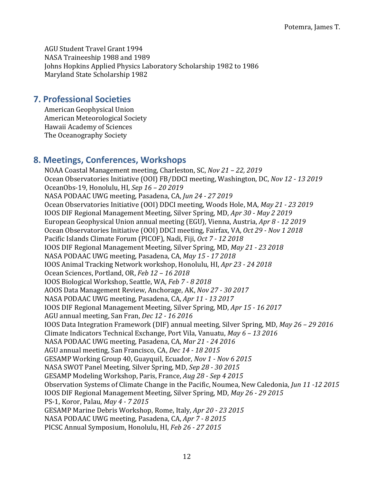AGU Student Travel Grant 1994 NASA Traineeship 1988 and 1989 Johns Hopkins Applied Physics Laboratory Scholarship 1982 to 1986 Maryland State Scholarship 1982

## **7. Professional Societies**

American Geophysical Union American Meteorological Society Hawaii Academy of Sciences The Oceanography Society

# **8. Meetings, Conferences, Workshops**

NOAA Coastal Management meeting, Charleston, SC, *Nov 21* - 22, 2019 Ocean Observatories Initiative (OOI) FB/DDCI meeting, Washington, DC, *Nov 12 - 13 2019* OceanObs-19, Honolulu, HI, *Sep 16 – 20 2019* NASA PODAAC UWG meeting, Pasadena, CA, *Jun 24 - 27 2019* Ocean Observatories Initiative (OOI) DDCI meeting, Woods Hole, MA, *May 21 - 23 2019* IOOS DIF Regional Management Meeting, Silver Spring, MD, *Apr 30 - May 2 2019* European Geophysical Union annual meeting (EGU), Vienna, Austria, Apr 8 - 12 2019 Ocean Observatories Initiative (OOI) DDCI meeting, Fairfax, VA, Oct 29 - Nov 1 2018 Pacific Islands Climate Forum (PICOF), Nadi, Fiji, Oct 7 - 12 2018 IOOS DIF Regional Management Meeting, Silver Spring, MD, *May 21 - 23 2018* NASA PODAAC UWG meeting, Pasadena, CA, *May* 15 - 17 2018 IOOS Animal Tracking Network workshop, Honolulu, HI, *Apr 23 - 24 2018* Ocean Sciences, Portland, OR, *Feb 12 – 16 2018* IOOS Biological Workshop, Seattle, WA, *Feb 7 - 8 2018* AOOS Data Management Review, Anchorage, AK, *Nov 27 - 30 2017* NASA PODAAC UWG meeting, Pasadena, CA, Apr 11 - 13 2017 IOOS DIF Regional Management Meeting, Silver Spring, MD, *Apr 15 - 16 2017* AGU annual meeting, San Fran, *Dec 12 - 16 2016* IOOS Data Integration Framework (DIF) annual meeting, Silver Spring, MD, *May 26 – 29 2016* Climate Indicators Technical Exchange, Port Vila, Vanuatu, *May* 6 – 13 2016 NASA PODAAC UWG meeting, Pasadena, CA, Mar 21 - 24 2016 AGU annual meeting, San Francisco, CA, *Dec 14 - 18 2015* GESAMP Working Group 40, Guayquil, Ecuador, *Nov 1 - Nov 6 2015* NASA SWOT Panel Meeting, Silver Spring, MD, Sep 28 - 30 2015 GESAMP Modeling Workshop, Paris, France, *Aug 28 - Sep 4 2015* Observation Systems of Climate Change in the Pacific, Noumea, New Caledonia, *Jun 11 -12 2015* IOOS DIF Regional Management Meeting, Silver Spring, MD, *May 26 - 29 2015* PS-1, Koror, Palau, *May* 4 - 7 2015 GESAMP Marine Debris Workshop, Rome, Italy, Apr 20 - 23 2015 NASA PODAAC UWG meeting, Pasadena, CA, Apr 7 - 8 2015 PICSC Annual Symposium, Honolulu, HI, *Feb 26 - 27 2015*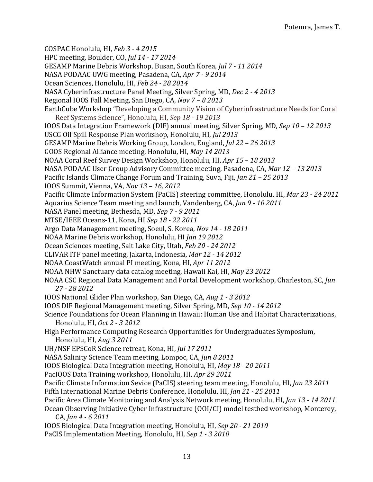COSPAC Honolulu, HI, *Feb 3 - 4 2015* HPC meeting, Boulder, CO, *Jul 14 - 17 2014* GESAMP Marine Debris Workshop, Busan, South Korea, *Jul 7 - 11 2014* NASA PODAAC UWG meeting, Pasadena, CA, Apr 7 - 9 2014 Ocean Sciences, Honolulu, HI, *Feb 24 - 28 2014* NASA Cyberinfrastructure Panel Meeting, Silver Spring, MD, *Dec 2 - 4 2013* Regional IOOS Fall Meeting, San Diego, CA, *Nov* 7 - 8 2013 EarthCube Workshop "Developing a Community Vision of Cyberinfrastructure Needs for Coral Reef Systems Science", Honolulu, HI, *Sep 18 - 19 2013* IOOS Data Integration Framework (DIF) annual meeting, Silver Spring, MD, *Sep 10* - 12 2013 USCG Oil Spill Response Plan workshop, Honolulu, HI, *Jul 2013* GESAMP Marine Debris Working Group, London, England, *Jul 22 – 26 2013* GOOS Regional Alliance meeting, Honolulu, HI, *May 14 2013* NOAA Coral Reef Survey Design Workshop, Honolulu, HI, Apr 15 - 18 2013 NASA PODAAC User Group Advisory Committee meeting, Pasadena, CA, *Mar 12* - 13 2013 Pacific Islands Climate Change Forum and Training, Suva, Fiji, *Jan 21* - 25 2013 IOOS Summit, Vienna, VA, *Nov 13 – 16, 2012* Pacific Climate Information System (PaCIS) steering committee, Honolulu, HI, *Mar 23 - 24 2011* Aquarius Science Team meeting and launch, Vandenberg, CA, Jun 9 - 10 2011 NASA Panel meeting, Bethesda, MD, Sep 7 - 9 2011 MTSE/IEEE Oceans-11, Kona, HI *Sep 18 - 22 2011* Argo Data Management meeting, Soeul, S. Korea, *Nov* 14 - 18 2011 NOAA Marine Debris workshop, Honolulu, HI *Jan 19 2012* Ocean Sciences meeting, Salt Lake City, Utah, *Feb 20 - 24 2012* CLIVAR ITF panel meeting, Jakarta, Indonesia, *Mar 12 - 14 2012* NOAA CoastWatch annual PI meeting, Kona, HI, Apr 11 2012 NOAA NHW Sanctuary data catalog meeting, Hawaii Kai, HI, *May 23 2012* NOAA CSC Regional Data Management and Portal Development workshop, Charleston, SC, *Jun 27 - 28 2012* IOOS National Glider Plan workshop, San Diego, CA, *Aug 1 - 3 2012* IOOS DIF Regional Management meeting, Silver Spring, MD, *Sep 10 - 14 2012* Science Foundations for Ocean Planning in Hawaii: Human Use and Habitat Characterizations, Honolulu, HI, *Oct 2 - 3 2012* High Performance Computing Research Opportunities for Undergraduates Symposium, Honolulu, HI, *Aug 3 2011* UH/NSF EPSCoR Science retreat, Kona, HI, *Jul 17 2011* NASA Salinity Science Team meeting, Lompoc, CA, *Jun 8 2011* IOOS Biological Data Integration meeting, Honolulu, HI, *May 18 - 20 2011* PacIOOS Data Training workshop, Honolulu, HI, *Apr 29 2011* Pacific Climate Information Sevice (PaCIS) steering team meeting, Honolulu, HI, *Jan 23 2011* Fifth International Marine Debris Conference, Honolulu, HI, *Jan 21* - 25 2011 Pacific Area Climate Monitoring and Analysis Network meeting, Honolulu, HI, *Jan 13 - 14 2011* Ocean Observing Initiative Cyber Infrastructure (OOI/CI) model testbed workshop, Monterey, CA, *Jan 4 - 6 2011* IOOS Biological Data Integration meeting, Honolulu, HI, *Sep 20 - 21 2010* PaCIS Implementation Meeting, Honolulu, HI, Sep 1 - 3 2010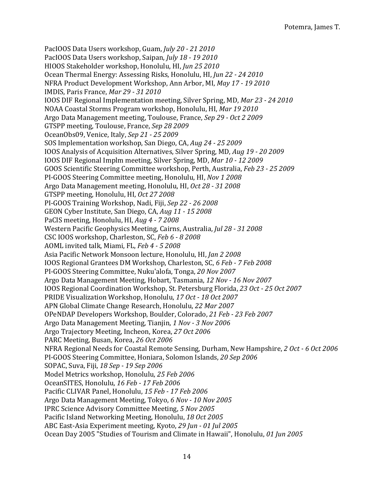PacIOOS Data Users workshop, Guam, *July 20 - 21 2010* PacIOOS Data Users workshop, Saipan, *July* 18 - 19 2010 HIOOS Stakeholder workshop, Honolulu, HI, Jun 25 2010 Ocean Thermal Energy: Assessing Risks, Honolulu, HI, Jun 22 - 24 2010 NFRA Product Development Workshop, Ann Arbor, MI, *May 17 - 19 2010* IMDIS, Paris France, *Mar 29 - 31 2010* IOOS DIF Regional Implementation meeting, Silver Spring, MD, *Mar 23 - 24 2010* NOAA Coastal Storms Program workshop, Honolulu, HI, Mar 19 2010 Argo Data Management meeting, Toulouse, France, Sep 29 - Oct 2 2009 GTSPP meeting, Toulouse, France, Sep 28 2009 OceanObs09, Venice, Italy, *Sep 21 - 25 2009* SOS Implementation workshop, San Diego, CA, *Aug 24 - 25 2009* IOOS Analysis of Acquisition Alternatives, Silver Spring, MD, *Aug 19 - 20 2009* IOOS DIF Regional Implm meeting, Silver Spring, MD, *Mar 10 - 12 2009* GOOS Scientific Steering Committee workshop, Perth, Australia, *Feb 23 - 25 2009* PI-GOOS Steering Committee meeting, Honolulu, HI, *Nov 1 2008* Argo Data Management meeting, Honolulu, HI, *Oct 28 - 31 2008* GTSPP meeting, Honolulu, HI, *Oct 27 2008* PI-GOOS Training Workshop, Nadi, Fiji, *Sep 22 - 26 2008* GEON Cyber Institute, San Diego, CA, *Aug 11 - 15 2008* PaCIS meeting, Honolulu, HI, *Aug 4 - 7 2008* Western Pacific Geophysics Meeting, Cairns, Australia, *Jul 28 - 31 2008* CSC IOOS workshop, Charleston, SC, *Feb 6 - 8 2008* AOML invited talk, Miami, FL, Feb 4 - 5 2008 Asia Pacific Network Monsoon lecture, Honolulu, HI, *Jan 2 2008* IOOS Regional Grantees DM Workshop, Charleston, SC, *6 Feb - 7 Feb 2008* PI-GOOS Steering Committee, Nuku'alofa, Tonga, *20 Nov 2007* Argo Data Management Meeting, Hobart, Tasmania, 12 Nov - 16 Nov 2007 IOOS Regional Coordination Workshop, St. Petersburg Florida, *23 Oct - 25 Oct 2007* PRIDE Visualization Workshop, Honolulu, 17 Oct - 18 Oct 2007 APN Global Climate Change Research, Honolulu, 22 Mar 2007 OPeNDAP Developers Workshop, Boulder, Colorado, *21 Feb - 23 Feb 2007* Argo Data Management Meeting, Tianjin, *1 Nov - 3 Nov 2006* Argo Trajectory Meeting, Incheon, Korea, 27 Oct 2006 PARC Meeting, Busan, Korea, 26 Oct 2006 NFRA Regional Needs for Coastal Remote Sensing, Durham, New Hampshire, 2 Oct - 6 Oct 2006 PI-GOOS Steering Committee, Honiara, Solomon Islands, 20 Sep 2006 SOPAC, Suva, Fiji, *18 Sep - 19 Sep 2006* Model Metrics workshop, Honolulu, 25 Feb 2006 OceanSITES, Honolulu, *16 Feb - 17 Feb 2006* Pacific CLIVAR Panel, Honolulu, 15 Feb - 17 Feb 2006 Argo Data Management Meeting, Tokyo, *6 Nov - 10 Nov 2005* IPRC Science Advisory Committee Meeting, *5 Nov 2005* Pacific Island Networking Meeting, Honolulu, 18 Oct 2005 ABC East-Asia Experiment meeting, Kyoto, *29 Jun - 01 Jul 2005* Ocean Day 2005 "Studies of Tourism and Climate in Hawaii", Honolulu, 01 Jun 2005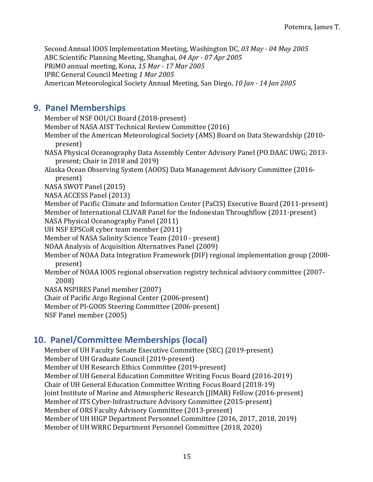Second Annual IOOS Implementation Meeting, Washington DC, 03 May - 04 May 2005 ABC Scientific Planning Meeting, Shanghai, *04 Apr - 07 Apr 2005* PRiMO annual meeting, Kona, 15 Mar - 17 Mar 2005 IPRC General Council Meeting *1 Mar 2005* American Meteorological Society Annual Meeting, San Diego, *10 Jan - 14 Jan 2005*

# **9. Panel Memberships**

Member of NSF OOI/CI Board (2018-present) Member of NASA AIST Technical Review Committee (2016) Member of the American Meteorological Society (AMS) Board on Data Stewardship (2010present) NASA Physical Oceanography Data Assembly Center Advisory Panel (PO.DAAC UWG; 2013present; Chair in 2018 and 2019) Alaska Ocean Observing System (AOOS) Data Management Advisory Committee (2016present) NASA SWOT Panel (2015) NASA ACCESS Panel (2013) Member of Pacific Climate and Information Center (PaCIS) Executive Board (2011-present) Member of International CLIVAR Panel for the Indonesian Throughflow (2011-present) NASA Physical Oceanography Panel (2011) UH NSF EPSCoR cyber team member (2011) Member of NASA Salinity Science Team (2010 - present) NOAA Analysis of Acquisition Alternatives Panel (2009) Member of NOAA Data Integration Framework (DIF) regional implementation group (2008present) Member of NOAA IOOS regional observation registry technical advisory committee (2007-2008) NASA NSPIRES Panel member (2007) Chair of Pacific Argo Regional Center (2006-present) Member of PI-GOOS Steering Committee (2006-present)

NSF Panel member (2005)

# **10. Panel/Committee Memberships (local)**

Member of UH Faculty Senate Executive Committee (SEC) (2019-present) Member of UH Graduate Council (2019-present) Member of UH Research Ethics Committee (2019-present) Member of UH General Education Committee Writing Focus Board (2016-2019) Chair of UH General Education Committee Writing Focus Board (2018-19) Joint Institute of Marine and Atmospheric Research (JIMAR) Fellow (2016-present) Member of ITS Cyber-Infrastructure Advisory Committee (2015-present) Member of ORS Faculty Advisory Committee (2013-present) Member of UH HIGP Department Personnel Committee (2016, 2017, 2018, 2019) Member of UH WRRC Department Personnel Committee (2018, 2020)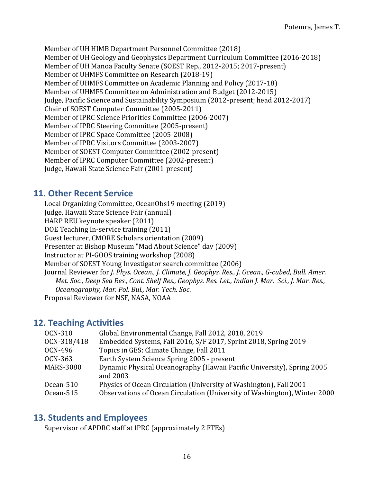Member of UH HIMB Department Personnel Committee (2018) Member of UH Geology and Geophysics Department Curriculum Committee (2016-2018) Member of UH Manoa Faculty Senate (SOEST Rep., 2012-2015; 2017-present) Member of UHMFS Committee on Research (2018-19) Member of UHMFS Committee on Academic Planning and Policy (2017-18) Member of UHMFS Committee on Administration and Budget (2012-2015) Judge, Pacific Science and Sustainability Symposium (2012-present; head 2012-2017) Chair of SOEST Computer Committee (2005-2011) Member of IPRC Science Priorities Committee (2006-2007) Member of IPRC Steering Committee (2005-present) Member of IPRC Space Committee (2005-2008) Member of IPRC Visitors Committee (2003-2007) Member of SOEST Computer Committee (2002-present) Member of IPRC Computer Committee (2002-present) Judge, Hawaii State Science Fair (2001-present)

# **11. Other Recent Service**

Local Organizing Committee, OceanObs19 meeting (2019) Judge, Hawaii State Science Fair (annual) HARP REU keynote speaker (2011) DOE Teaching In-service training (2011) Guest lecturer, CMORE Scholars orientation (2009) Presenter at Bishop Museum "Mad About Science" day (2009) Instructor at PI-GOOS training workshop (2008) Member of SOEST Young Investigator search committee (2006) Journal Reviewer for *J. Phys. Ocean., J. Climate, J. Geophys. Res., J. Ocean., G-cubed, Bull. Amer. Met. Soc., Deep Sea Res., Cont. Shelf Res., Geophys. Res. Let., Indian J. Mar. Sci., J. Mar. Res., Oceanography, Mar. Pol. Bul., Mar. Tech. Soc*. Proposal Reviewer for NSF, NASA, NOAA

## **12. Teaching Activities**

| <b>OCN-310</b>         | Global Environmental Change, Fall 2012, 2018, 2019                                                                                              |
|------------------------|-------------------------------------------------------------------------------------------------------------------------------------------------|
| OCN-318/418            | Embedded Systems, Fall 2016, S/F 2017, Sprint 2018, Spring 2019                                                                                 |
| OCN-496                | Topics in GES: Climate Change, Fall 2011                                                                                                        |
| OCN-363                | Earth System Science Spring 2005 - present                                                                                                      |
| <b>MARS-3080</b>       | Dynamic Physical Oceanography (Hawaii Pacific University), Spring 2005<br>and 2003                                                              |
| Ocean-510<br>Ocean-515 | Physics of Ocean Circulation (University of Washington), Fall 2001<br>Observations of Ocean Circulation (University of Washington), Winter 2000 |

## **13. Students and Employees**

Supervisor of APDRC staff at IPRC (approximately 2 FTEs)